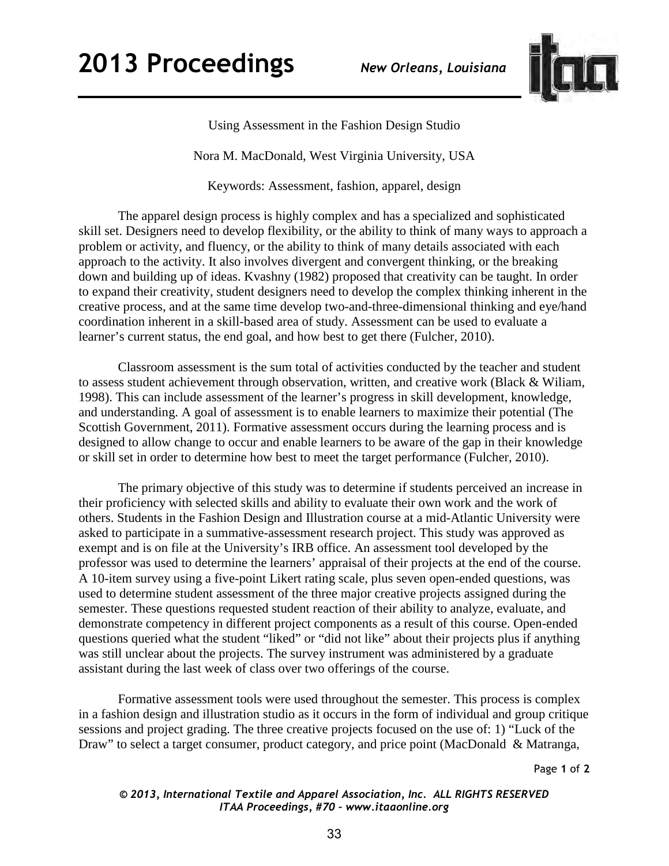

Using Assessment in the Fashion Design Studio

Nora M. MacDonald, West Virginia University, USA

Keywords: Assessment, fashion, apparel, design

The apparel design process is highly complex and has a specialized and sophisticated skill set. Designers need to develop flexibility, or the ability to think of many ways to approach a problem or activity, and fluency, or the ability to think of many details associated with each approach to the activity. It also involves divergent and convergent thinking, or the breaking down and building up of ideas. Kvashny (1982) proposed that creativity can be taught. In order to expand their creativity, student designers need to develop the complex thinking inherent in the creative process, and at the same time develop two-and-three-dimensional thinking and eye/hand coordination inherent in a skill-based area of study. Assessment can be used to evaluate a learner's current status, the end goal, and how best to get there (Fulcher, 2010).

Classroom assessment is the sum total of activities conducted by the teacher and student to assess student achievement through observation, written, and creative work (Black & Wiliam, 1998). This can include assessment of the learner's progress in skill development, knowledge, and understanding. A goal of assessment is to enable learners to maximize their potential (The Scottish Government, 2011). Formative assessment occurs during the learning process and is designed to allow change to occur and enable learners to be aware of the gap in their knowledge or skill set in order to determine how best to meet the target performance (Fulcher, 2010).

The primary objective of this study was to determine if students perceived an increase in their proficiency with selected skills and ability to evaluate their own work and the work of others. Students in the Fashion Design and Illustration course at a mid-Atlantic University were asked to participate in a summative-assessment research project. This study was approved as exempt and is on file at the University's IRB office. An assessment tool developed by the professor was used to determine the learners' appraisal of their projects at the end of the course. A 10-item survey using a five-point Likert rating scale, plus seven open-ended questions, was used to determine student assessment of the three major creative projects assigned during the semester. These questions requested student reaction of their ability to analyze, evaluate, and demonstrate competency in different project components as a result of this course. Open-ended questions queried what the student "liked" or "did not like" about their projects plus if anything was still unclear about the projects. The survey instrument was administered by a graduate assistant during the last week of class over two offerings of the course.

Formative assessment tools were used throughout the semester. This process is complex in a fashion design and illustration studio as it occurs in the form of individual and group critique sessions and project grading. The three creative projects focused on the use of: 1) "Luck of the Draw" to select a target consumer, product category, and price point (MacDonald & Matranga,

Page **1** of **2** 

*© 2013, International Textile and Apparel Association, Inc. ALL RIGHTS RESERVED ITAA Proceedings, #70 – www.itaaonline.org*